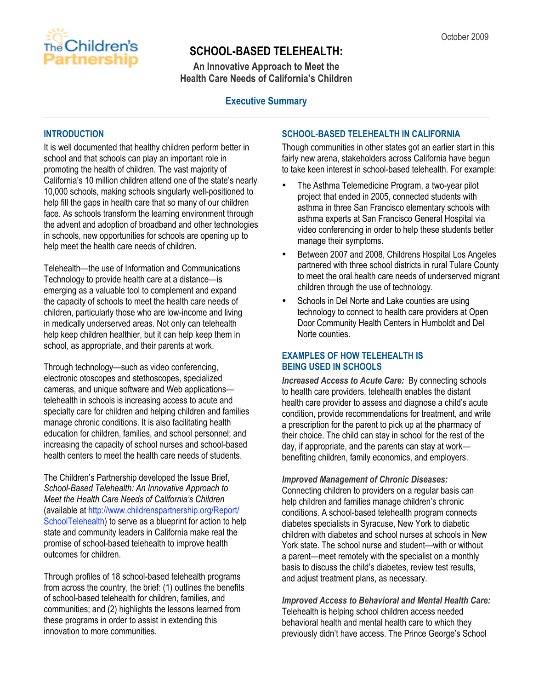

# **SCHOOL-BASED TELEHEALTH:**

**An Innovative Approach to Meet the Health Care Needs of California's Children**

### **Executive Summary**

### **INTRODUCTION**

It is well documented that healthy children perform better in school and that schools can play an important role in promoting the health of children. The vast majority of California's 10 million children attend one of the state's nearly 10,000 schools, making schools singularly well-positioned to help fill the gaps in health care that so many of our children face. As schools transform the learning environment through the advent and adoption of broadband and other technologies in schools, new opportunities for schools are opening up to help meet the health care needs of children.

Telehealth—the use of Information and Communications Technology to provide health care at a distance—is emerging as a valuable tool to complement and expand the capacity of schools to meet the health care needs of children, particularly those who are low-income and living in medically underserved areas. Not only can telehealth help keep children healthier, but it can help keep them in school, as appropriate, and their parents at work.

Through technology—such as video conferencing, electronic otoscopes and stethoscopes, specialized cameras, and unique software and Web applications telehealth in schools is increasing access to acute and specialty care for children and helping children and families manage chronic conditions. It is also facilitating health education for children, families, and school personnel; and increasing the capacity of school nurses and school-based health centers to meet the health care needs of students.

The Children's Partnership developed the Issue Brief, *School-Based Telehealth: An Innovative Approach to Meet the Health Care Needs of California's Children* (available at http://www.childrenspartnership.org/Report/ SchoolTelehealth) to serve as a blueprint for action to help state and community leaders in California make real the promise of school-based telehealth to improve health outcomes for children.

Through profiles of 18 school-based telehealth programs from across the country, the brief: (1) outlines the benefits of school-based telehealth for children, families, and communities; and (2) highlights the lessons learned from these programs in order to assist in extending this innovation to more communities.

### **SCHOOL-BASED TELEHEALTH IN CALIFORNIA**

Though communities in other states got an earlier start in this fairly new arena, stakeholders across California have begun to take keen interest in school-based telehealth. For example:

- The Asthma Telemedicine Program, a two-year pilot project that ended in 2005, connected students with asthma in three San Francisco elementary schools with asthma experts at San Francisco General Hospital via video conferencing in order to help these students better manage their symptoms.
- Between 2007 and 2008, Childrens Hospital Los Angeles partnered with three school districts in rural Tulare County to meet the oral health care needs of underserved migrant children through the use of technology.
- Schools in Del Norte and Lake counties are using technology to connect to health care providers at Open Door Community Health Centers in Humboldt and Del Norte counties.

### **EXAMPLES OF HOW TELEHEALTH IS BEING USED IN SCHOOLS**

*Increased Access to Acute Care:* By connecting schools to health care providers, telehealth enables the distant health care provider to assess and diagnose a child's acute condition, provide recommendations for treatment, and write a prescription for the parent to pick up at the pharmacy of their choice. The child can stay in school for the rest of the day, if appropriate, and the parents can stay at work benefiting children, family economics, and employers.

*Improved Management of Chronic Diseases:* Connecting children to providers on a regular basis can help children and families manage children's chronic conditions. A school-based telehealth program connects diabetes specialists in Syracuse, New York to diabetic children with diabetes and school nurses at schools in New York state. The school nurse and student—with or without a parent—meet remotely with the specialist on a monthly basis to discuss the child's diabetes, review test results, and adjust treatment plans, as necessary.

#### *Improved Access to Behavioral and Mental Health Care:* Telehealth is helping school children access needed behavioral health and mental health care to which they previously didn't have access. The Prince George's School